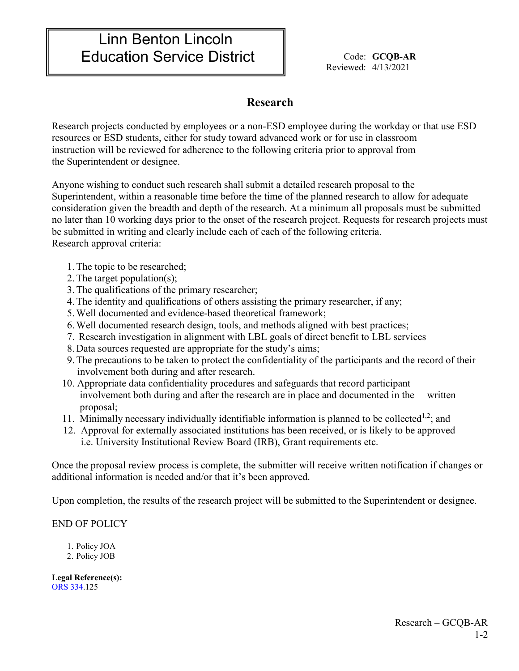## Linn Benton Lincoln Education Service District  $\parallel$  Code: GCQB-AR

Reviewed: 4/13/2021

## **Research**

Research projects conducted by employees or a non-ESD employee during the workday or that use ESD resources or ESD students, either for study toward advanced work or for use in classroom instruction will be reviewed for adherence to the following criteria prior to approval from the Superintendent or designee.

Anyone wishing to conduct such research shall submit a detailed research proposal to the Superintendent, within a reasonable time before the time of the planned research to allow for adequate consideration given the breadth and depth of the research. At a minimum all proposals must be submitted no later than 10 working days prior to the onset of the research project. Requests for research projects must be submitted in writing and clearly include each of each of the following criteria. Research approval criteria:

- 1.The topic to be researched;
- 2.The target population(s);
- 3.The qualifications of the primary researcher;
- 4.The identity and qualifications of others assisting the primary researcher, if any;
- 5.Well documented and evidence-based theoretical framework;
- 6.Well documented research design, tools, and methods aligned with best practices;
- 7. Research investigation in alignment with LBL goals of direct benefit to LBL services
- 8. Data sources requested are appropriate for the study's aims;
- 9.The precautions to be taken to protect the confidentiality of the participants and the record of their involvement both during and after research.
- 10. Appropriate data confidentiality procedures and safeguards that record participant involvement both during and after the research are in place and documented in the written proposal;
- 11. Minimally necessary individually identifiable information is planned to be collected<sup>1,2</sup>; and
- 12. Approval for externally associated institutions has been received, or is likely to be approved i.e. University Institutional Review Board (IRB), Grant requirements etc.

Once the proposal review process is complete, the submitter will receive written notification if changes or additional information is needed and/or that it's been approved.

Upon completion, the results of the research project will be submitted to the Superintendent or designee.

## END OF POLICY

- 1. Policy JOA
- 2. Policy JOB

**Legal Reference(s):**  ORS 334.125